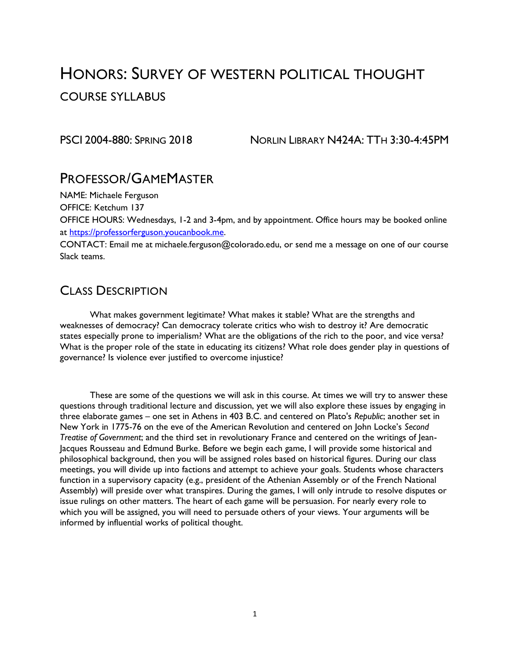# HONORS: SURVEY OF WESTERN POLITICAL THOUGHT COURSE SYLLABUS

PSCI 2004-880: SPRING 2018 NORLIN LIBRARY N424A: TTH 3:30-4:45PM

## PROFESSOR/GAMEMASTER

NAME: Michaele Ferguson

OFFICE: Ketchum 137

OFFICE HOURS: Wednesdays, 1-2 and 3-4pm, and by appointment. Office hours may be booked online at [https://professorferguson.youcanbook.me.](https://professorferguson.youcanbook.me/)

CONTACT: Email me at michaele.ferguson@colorado.edu, or send me a message on one of our course Slack teams.

## CLASS DESCRIPTION

What makes government legitimate? What makes it stable? What are the strengths and weaknesses of democracy? Can democracy tolerate critics who wish to destroy it? Are democratic states especially prone to imperialism? What are the obligations of the rich to the poor, and vice versa? What is the proper role of the state in educating its citizens? What role does gender play in questions of governance? Is violence ever justified to overcome injustice?

These are some of the questions we will ask in this course. At times we will try to answer these questions through traditional lecture and discussion, yet we will also explore these issues by engaging in three elaborate games – one set in Athens in 403 B.C. and centered on Plato's *Republic*; another set in New York in 1775-76 on the eve of the American Revolution and centered on John Locke's *Second Treatise of Government*; and the third set in revolutionary France and centered on the writings of Jean-Jacques Rousseau and Edmund Burke. Before we begin each game, I will provide some historical and philosophical background, then you will be assigned roles based on historical figures. During our class meetings, you will divide up into factions and attempt to achieve your goals. Students whose characters function in a supervisory capacity (e.g., president of the Athenian Assembly or of the French National Assembly) will preside over what transpires. During the games, I will only intrude to resolve disputes or issue rulings on other matters. The heart of each game will be persuasion. For nearly every role to which you will be assigned, you will need to persuade others of your views. Your arguments will be informed by influential works of political thought.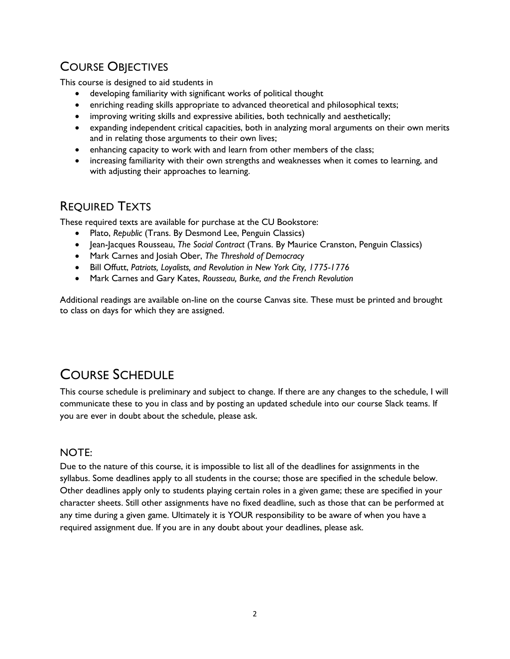## COURSE OBJECTIVES

This course is designed to aid students in

- developing familiarity with significant works of political thought
- enriching reading skills appropriate to advanced theoretical and philosophical texts;
- improving writing skills and expressive abilities, both technically and aesthetically;
- expanding independent critical capacities, both in analyzing moral arguments on their own merits and in relating those arguments to their own lives;
- enhancing capacity to work with and learn from other members of the class;
- increasing familiarity with their own strengths and weaknesses when it comes to learning, and with adjusting their approaches to learning.

## REQUIRED TEXTS

These required texts are available for purchase at the CU Bookstore:

- Plato, *Republic* (Trans. By Desmond Lee, Penguin Classics)
- Jean-Jacques Rousseau, *The Social Contract* (Trans. By Maurice Cranston, Penguin Classics)
- Mark Carnes and Josiah Ober, *The Threshold of Democracy*
- Bill Offutt, *Patriots, Loyalists, and Revolution in New York City, 1775-1776*
- Mark Carnes and Gary Kates, *Rousseau, Burke, and the French Revolution*

Additional readings are available on-line on the course Canvas site. These must be printed and brought to class on days for which they are assigned.

# COURSE SCHEDULE

This course schedule is preliminary and subject to change. If there are any changes to the schedule, I will communicate these to you in class and by posting an updated schedule into our course Slack teams. If you are ever in doubt about the schedule, please ask.

#### NOTE:

Due to the nature of this course, it is impossible to list all of the deadlines for assignments in the syllabus. Some deadlines apply to all students in the course; those are specified in the schedule below. Other deadlines apply only to students playing certain roles in a given game; these are specified in your character sheets. Still other assignments have no fixed deadline, such as those that can be performed at any time during a given game. Ultimately it is YOUR responsibility to be aware of when you have a required assignment due. If you are in any doubt about your deadlines, please ask.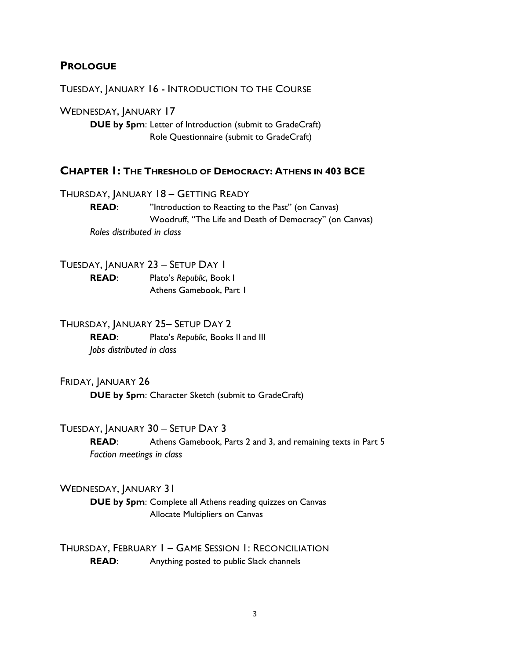#### **PROLOGUE**

TUESDAY, JANUARY 16 - INTRODUCTION TO THE COURSE

WEDNESDAY, JANUARY 17 **DUE by 5pm**: Letter of Introduction (submit to GradeCraft) Role Questionnaire (submit to GradeCraft)

#### **CHAPTER 1: THE THRESHOLD OF DEMOCRACY: ATHENS IN 403 BCE**

THURSDAY, JANUARY 18 – GETTING READY **READ:** "Introduction to Reacting to the Past" (on Canvas) Woodruff, "The Life and Death of Democracy" (on Canvas) *Roles distributed in class*

TUESDAY, JANUARY 23 – SETUP DAY 1 **READ**: Plato's *Republic*, Book I Athens Gamebook, Part 1

THURSDAY, JANUARY 25– SETUP DAY 2 **READ**: Plato's *Republic*, Books II and III *Jobs distributed in class*

FRIDAY, JANUARY 26 **DUE by 5pm**: Character Sketch (submit to GradeCraft)

TUESDAY, JANUARY 30 – SETUP DAY 3

**READ**: Athens Gamebook, Parts 2 and 3, and remaining texts in Part 5 *Faction meetings in class*

#### WEDNESDAY, JANUARY 31

**DUE by 5pm**: Complete all Athens reading quizzes on Canvas Allocate Multipliers on Canvas

THURSDAY, FEBRUARY 1 – GAME SESSION 1: RECONCILIATION **READ:** Anything posted to public Slack channels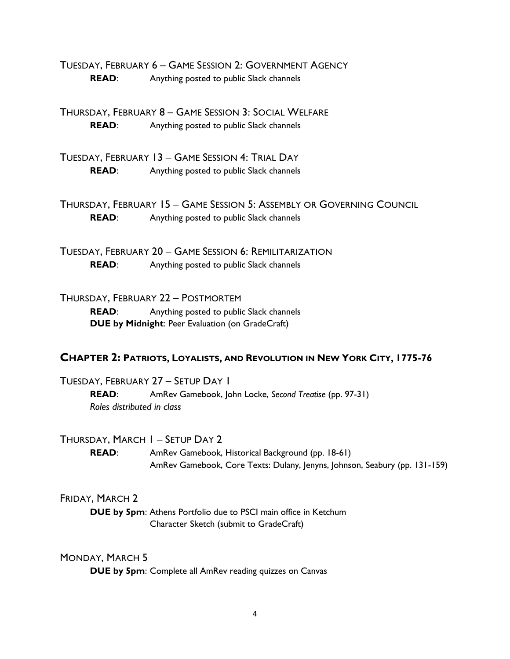TUESDAY, FEBRUARY 6 – GAME SESSION 2: GOVERNMENT AGENCY **READ**: Anything posted to public Slack channels

THURSDAY, FEBRUARY 8 – GAME SESSION 3: SOCIAL WELFARE **READ:** Anything posted to public Slack channels

TUESDAY, FEBRUARY 13 – GAME SESSION 4: TRIAL DAY **READ:** Anything posted to public Slack channels

THURSDAY, FEBRUARY 15 – GAME SESSION 5: ASSEMBLY OR GOVERNING COUNCIL **READ:** Anything posted to public Slack channels

TUESDAY, FEBRUARY 20 – GAME SESSION 6: REMILITARIZATION **READ:** Anything posted to public Slack channels

THURSDAY, FEBRUARY 22 – POSTMORTEM **READ:** Anything posted to public Slack channels **DUE by Midnight**: Peer Evaluation (on GradeCraft)

#### **CHAPTER 2: PATRIOTS, LOYALISTS, AND REVOLUTION IN NEW YORK CITY, 1775-76**

TUESDAY, FEBRUARY 27 – SETUP DAY 1 **READ**: AmRev Gamebook, John Locke, *Second Treatise* (pp. 97-31) *Roles distributed in class*

THURSDAY, MARCH 1 – SETUP DAY 2

**READ**: AmRev Gamebook, Historical Background (pp. 18-61) AmRev Gamebook, Core Texts: Dulany, Jenyns, Johnson, Seabury (pp. 131-159)

#### FRIDAY, MARCH 2

**DUE by 5pm**: Athens Portfolio due to PSCI main office in Ketchum Character Sketch (submit to GradeCraft)

#### MONDAY, MARCH 5

**DUE by 5pm**: Complete all AmRev reading quizzes on Canvas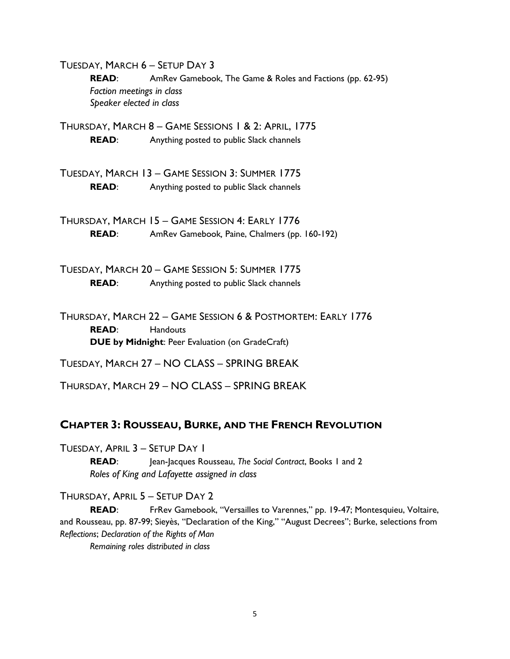TUESDAY, MARCH 6 – SETUP DAY 3 **READ**: AmRev Gamebook, The Game & Roles and Factions (pp. 62-95) *Faction meetings in class Speaker elected in class*

THURSDAY, MARCH 8 – GAME SESSIONS 1 & 2: APRIL, 1775 **READ:** Anything posted to public Slack channels

TUESDAY, MARCH 13 – GAME SESSION 3: SUMMER 1775 **READ:** Anything posted to public Slack channels

THURSDAY, MARCH 15 – GAME SESSION 4: EARLY 1776 **READ**: AmRev Gamebook*,* Paine, Chalmers (pp. 160-192)

TUESDAY, MARCH 20 – GAME SESSION 5: SUMMER 1775 **READ**: Anything posted to public Slack channels

THURSDAY, MARCH 22 – GAME SESSION 6 & POSTMORTEM: EARLY 1776 **READ**: Handouts **DUE by Midnight**: Peer Evaluation (on GradeCraft)

TUESDAY, MARCH 27 – NO CLASS – SPRING BREAK

THURSDAY, MARCH 29 – NO CLASS – SPRING BREAK

### **CHAPTER 3: ROUSSEAU, BURKE, AND THE FRENCH REVOLUTION**

TUESDAY, APRIL 3 – SETUP DAY 1

**READ**: Jean-Jacques Rousseau, *The Social Contract*, Books 1 and 2 *Roles of King and Lafayette assigned in class*

THURSDAY, APRIL 5 – SETUP DAY 2

READ: FrRev Gamebook, "Versailles to Varennes," pp. 19-47; Montesquieu, Voltaire, and Rousseau, pp. 87-99; Sieyès, "Declaration of the King," "August Decrees"; Burke, selections from *Reflections*; *Declaration of the Rights of Man*

*Remaining roles distributed in class*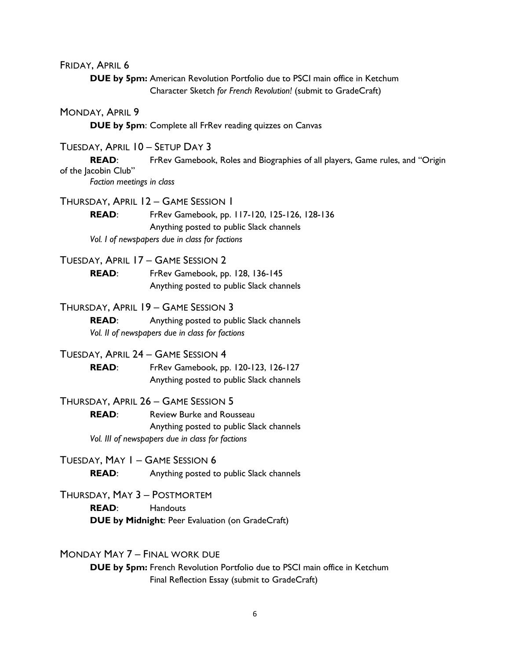FRIDAY, APRIL 6

**DUE by 5pm:** American Revolution Portfolio due to PSCI main office in Ketchum Character Sketch *for French Revolution!* (submit to GradeCraft)

MONDAY, APRIL 9

**DUE by 5pm**: Complete all FrRev reading quizzes on Canvas

TUESDAY, APRIL 10 – SETUP DAY 3

READ: FrRev Gamebook, Roles and Biographies of all players, Game rules, and "Origin of the Jacobin Club"

*Faction meetings in class*

THURSDAY, APRIL 12 – GAME SESSION 1

**READ**: FrRev Gamebook, pp. 117-120, 125-126, 128-136 Anything posted to public Slack channels *Vol. I of newspapers due in class for factions*

TUESDAY, APRIL 17 – GAME SESSION 2

**READ**: FrRev Gamebook, pp. 128, 136-145 Anything posted to public Slack channels

THURSDAY, APRIL 19 – GAME SESSION 3

**READ:** Anything posted to public Slack channels *Vol. II of newspapers due in class for factions*

TUESDAY, APRIL 24 – GAME SESSION 4

**READ**: FrRev Gamebook, pp. 120-123, 126-127 Anything posted to public Slack channels

THURSDAY, APRIL 26 – GAME SESSION 5

**READ:** Review Burke and Rousseau Anything posted to public Slack channels *Vol. III of newspapers due in class for factions*

TUESDAY, MAY 1 – GAME SESSION 6 **READ:** Anything posted to public Slack channels

THURSDAY, MAY 3 – POSTMORTEM **READ**: Handouts **DUE by Midnight**: Peer Evaluation (on GradeCraft)

MONDAY MAY 7 – FINAL WORK DUE

**DUE by 5pm:** French Revolution Portfolio due to PSCI main office in Ketchum Final Reflection Essay (submit to GradeCraft)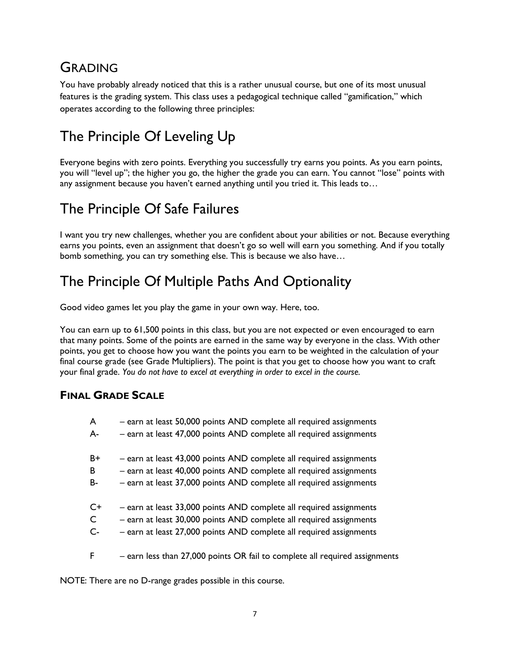# GRADING

You have probably already noticed that this is a rather unusual course, but one of its most unusual features is the grading system. This class uses a pedagogical technique called "gamification," which operates according to the following three principles:

# The Principle Of Leveling Up

Everyone begins with zero points. Everything you successfully try earns you points. As you earn points, you will "level up"; the higher you go, the higher the grade you can earn. You cannot "lose" points with any assignment because you haven't earned anything until you tried it. This leads to…

# The Principle Of Safe Failures

I want you try new challenges, whether you are confident about your abilities or not. Because everything earns you points, even an assignment that doesn't go so well will earn you something. And if you totally bomb something, you can try something else. This is because we also have…

# The Principle Of Multiple Paths And Optionality

Good video games let you play the game in your own way. Here, too.

You can earn up to 61,500 points in this class, but you are not expected or even encouraged to earn that many points. Some of the points are earned in the same way by everyone in the class. With other points, you get to choose how you want the points you earn to be weighted in the calculation of your final course grade (see Grade Multipliers). The point is that you get to choose how you want to craft your final grade. *You do not have to excel at everything in order to excel in the course.*

## **FINAL GRADE SCALE**

| A            | - earn at least 50,000 points AND complete all required assignments         |
|--------------|-----------------------------------------------------------------------------|
| A-           | - earn at least 47,000 points AND complete all required assignments         |
| $B+$         | - earn at least 43,000 points AND complete all required assignments         |
| B            | - earn at least 40,000 points AND complete all required assignments         |
| B-           | - earn at least 37,000 points AND complete all required assignments         |
| $C+$         | - earn at least 33,000 points AND complete all required assignments         |
| $\mathsf{C}$ | - earn at least 30,000 points AND complete all required assignments         |
| $C -$        | - earn at least 27,000 points AND complete all required assignments         |
| F            | - earn less than 27,000 points OR fail to complete all required assignments |

NOTE: There are no D-range grades possible in this course.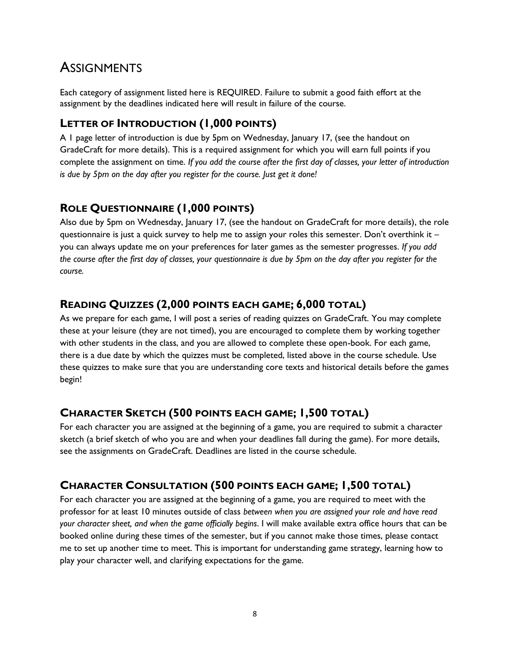## **ASSIGNMENTS**

Each category of assignment listed here is REQUIRED. Failure to submit a good faith effort at the assignment by the deadlines indicated here will result in failure of the course.

### **LETTER OF INTRODUCTION (1,000 POINTS)**

A 1 page letter of introduction is due by 5pm on Wednesday, January 17, (see the handout on GradeCraft for more details). This is a required assignment for which you will earn full points if you complete the assignment on time. *If you add the course after the first day of classes, your letter of introduction is due by 5pm on the day after you register for the course. Just get it done!*

## **ROLE QUESTIONNAIRE (1,000 POINTS)**

Also due by 5pm on Wednesday, January 17, (see the handout on GradeCraft for more details), the role questionnaire is just a quick survey to help me to assign your roles this semester. Don't overthink it – you can always update me on your preferences for later games as the semester progresses. *If you add the course after the first day of classes, your questionnaire is due by 5pm on the day after you register for the course.*

### **READING QUIZZES (2,000 POINTS EACH GAME; 6,000 TOTAL)**

As we prepare for each game, I will post a series of reading quizzes on GradeCraft. You may complete these at your leisure (they are not timed), you are encouraged to complete them by working together with other students in the class, and you are allowed to complete these open-book. For each game, there is a due date by which the quizzes must be completed, listed above in the course schedule. Use these quizzes to make sure that you are understanding core texts and historical details before the games begin!

### **CHARACTER SKETCH (500 POINTS EACH GAME; 1,500 TOTAL)**

For each character you are assigned at the beginning of a game, you are required to submit a character sketch (a brief sketch of who you are and when your deadlines fall during the game). For more details, see the assignments on GradeCraft. Deadlines are listed in the course schedule.

## **CHARACTER CONSULTATION (500 POINTS EACH GAME; 1,500 TOTAL)**

For each character you are assigned at the beginning of a game, you are required to meet with the professor for at least 10 minutes outside of class *between when you are assigned your role and have read your character sheet, and when the game officially begins*. I will make available extra office hours that can be booked online during these times of the semester, but if you cannot make those times, please contact me to set up another time to meet. This is important for understanding game strategy, learning how to play your character well, and clarifying expectations for the game.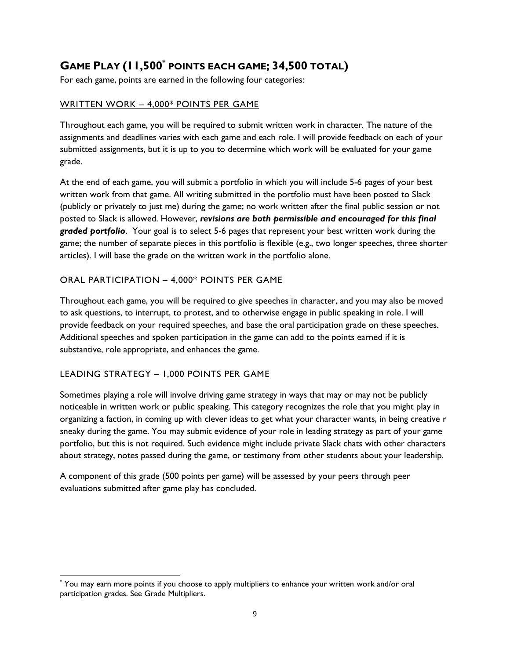## **GAME PLAY (11,500\* POINTS EACH GAME; 34,500 TOTAL)**

For each game, points are earned in the following four categories:

#### WRITTEN WORK – 4,000\* POINTS PER GAME

Throughout each game, you will be required to submit written work in character. The nature of the assignments and deadlines varies with each game and each role. I will provide feedback on each of your submitted assignments, but it is up to you to determine which work will be evaluated for your game grade.

At the end of each game, you will submit a portfolio in which you will include 5-6 pages of your best written work from that game. All writing submitted in the portfolio must have been posted to Slack (publicly or privately to just me) during the game; no work written after the final public session or not posted to Slack is allowed. However, *revisions are both permissible and encouraged for this final graded portfolio*. Your goal is to select 5-6 pages that represent your best written work during the game; the number of separate pieces in this portfolio is flexible (e.g., two longer speeches, three shorter articles). I will base the grade on the written work in the portfolio alone.

#### ORAL PARTICIPATION – 4,000\* POINTS PER GAME

Throughout each game, you will be required to give speeches in character, and you may also be moved to ask questions, to interrupt, to protest, and to otherwise engage in public speaking in role. I will provide feedback on your required speeches, and base the oral participation grade on these speeches. Additional speeches and spoken participation in the game can add to the points earned if it is substantive, role appropriate, and enhances the game.

#### LEADING STRATEGY – 1,000 POINTS PER GAME

Sometimes playing a role will involve driving game strategy in ways that may or may not be publicly noticeable in written work or public speaking. This category recognizes the role that you might play in organizing a faction, in coming up with clever ideas to get what your character wants, in being creative r sneaky during the game. You may submit evidence of your role in leading strategy as part of your game portfolio, but this is not required. Such evidence might include private Slack chats with other characters about strategy, notes passed during the game, or testimony from other students about your leadership.

A component of this grade (500 points per game) will be assessed by your peers through peer evaluations submitted after game play has concluded.

 $\overline{a}$ \* You may earn more points if you choose to apply multipliers to enhance your written work and/or oral participation grades. See Grade Multipliers.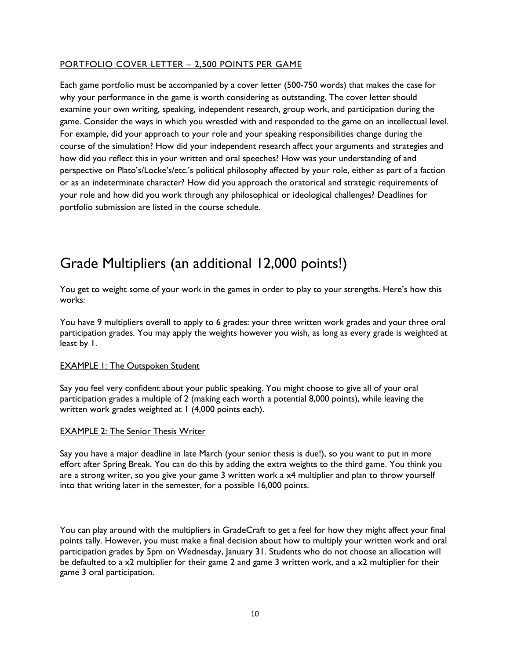#### PORTFOLIO COVER LETTER – 2,500 POINTS PER GAME

Each game portfolio must be accompanied by a cover letter (500-750 words) that makes the case for why your performance in the game is worth considering as outstanding. The cover letter should examine your own writing, speaking, independent research, group work, and participation during the game. Consider the ways in which you wrestled with and responded to the game on an intellectual level. For example, did your approach to your role and your speaking responsibilities change during the course of the simulation? How did your independent research affect your arguments and strategies and how did you reflect this in your written and oral speeches? How was your understanding of and perspective on Plato's/Locke's/etc.'s political philosophy affected by your role, either as part of a faction or as an indeterminate character? How did you approach the oratorical and strategic requirements of your role and how did you work through any philosophical or ideological challenges? Deadlines for portfolio submission are listed in the course schedule.

# Grade Multipliers (an additional 12,000 points!)

You get to weight some of your work in the games in order to play to your strengths. Here's how this works:

You have 9 multipliers overall to apply to 6 grades: your three written work grades and your three oral participation grades. You may apply the weights however you wish, as long as every grade is weighted at least by 1.

#### **EXAMPLE 1: The Outspoken Student**

Say you feel very confident about your public speaking. You might choose to give all of your oral participation grades a multiple of 2 (making each worth a potential 8,000 points), while leaving the written work grades weighted at 1 (4,000 points each).

#### EXAMPLE 2: The Senior Thesis Writer

Say you have a major deadline in late March (your senior thesis is due!), so you want to put in more effort after Spring Break. You can do this by adding the extra weights to the third game. You think you are a strong writer, so you give your game 3 written work a x4 multiplier and plan to throw yourself into that writing later in the semester, for a possible 16,000 points.

You can play around with the multipliers in GradeCraft to get a feel for how they might affect your final points tally. However, you must make a final decision about how to multiply your written work and oral participation grades by 5pm on Wednesday, January 31. Students who do not choose an allocation will be defaulted to a x2 multiplier for their game 2 and game 3 written work, and a x2 multiplier for their game 3 oral participation.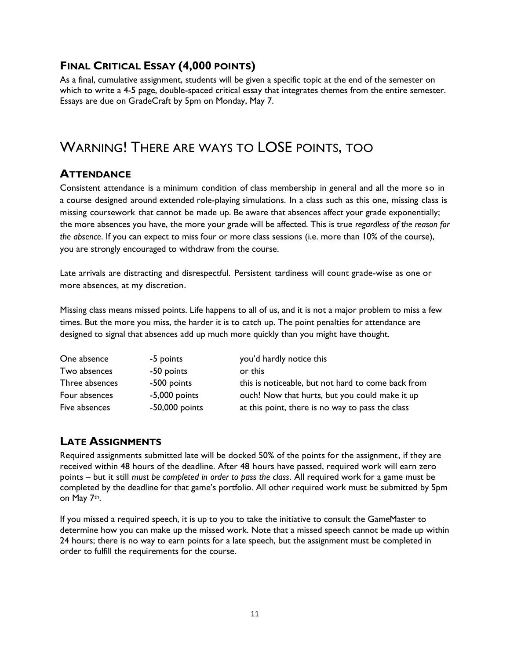## **FINAL CRITICAL ESSAY (4,000 POINTS)**

As a final, cumulative assignment, students will be given a specific topic at the end of the semester on which to write a 4-5 page, double-spaced critical essay that integrates themes from the entire semester. Essays are due on GradeCraft by 5pm on Monday, May 7.

# WARNING! THERE ARE WAYS TO LOSE POINTS, TOO

### **ATTENDANCE**

Consistent attendance is a minimum condition of class membership in general and all the more so in a course designed around extended role-playing simulations. In a class such as this one, missing class is missing coursework that cannot be made up. Be aware that absences affect your grade exponentially; the more absences you have, the more your grade will be affected. This is true *regardless of the reason for the absence*. If you can expect to miss four or more class sessions (i.e. more than 10% of the course), you are strongly encouraged to withdraw from the course.

Late arrivals are distracting and disrespectful. Persistent tardiness will count grade-wise as one or more absences, at my discretion.

Missing class means missed points. Life happens to all of us, and it is not a major problem to miss a few times. But the more you miss, the harder it is to catch up. The point penalties for attendance are designed to signal that absences add up much more quickly than you might have thought.

| One absence    | -5 points        | you'd hardly notice this                           |
|----------------|------------------|----------------------------------------------------|
| Two absences   | -50 points       | or this                                            |
| Three absences | -500 points      | this is noticeable, but not hard to come back from |
| Four absences  | $-5,000$ points  | ouch! Now that hurts, but you could make it up     |
| Five absences  | $-50,000$ points | at this point, there is no way to pass the class   |

### **LATE ASSIGNMENTS**

Required assignments submitted late will be docked 50% of the points for the assignment, if they are received within 48 hours of the deadline. After 48 hours have passed, required work will earn zero points – but it still *must be completed in order to pass the class*. All required work for a game must be completed by the deadline for that game's portfolio. All other required work must be submitted by 5pm on May 7th.

If you missed a required speech, it is up to you to take the initiative to consult the GameMaster to determine how you can make up the missed work. Note that a missed speech cannot be made up within 24 hours; there is no way to earn points for a late speech, but the assignment must be completed in order to fulfill the requirements for the course.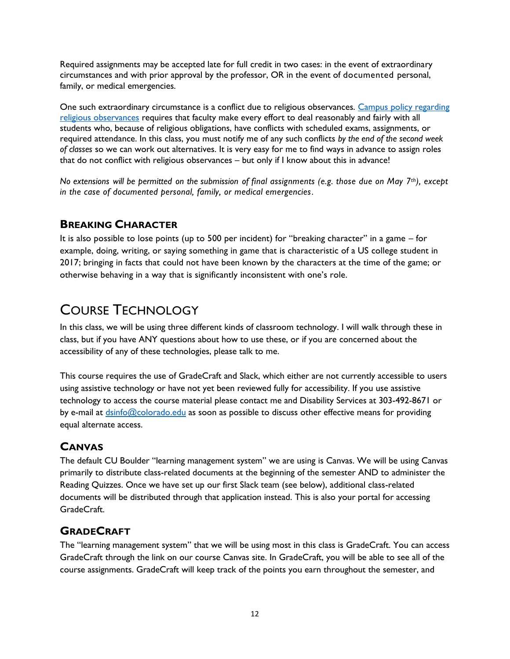Required assignments may be accepted late for full credit in two cases: in the event of extraordinary circumstances and with prior approval by the professor, OR in the event of documented personal, family, or medical emergencies.

One such extraordinary circumstance is a conflict due to religious observances. [Campus policy regarding](http://www.colorado.edu/policies/fac_relig.html)  [religious observances](http://www.colorado.edu/policies/fac_relig.html) requires that faculty make every effort to deal reasonably and fairly with all students who, because of religious obligations, have conflicts with scheduled exams, assignments, or required attendance. In this class, you must notify me of any such conflicts *by the end of the second week of classes* so we can work out alternatives. It is very easy for me to find ways in advance to assign roles that do not conflict with religious observances – but only if I know about this in advance!

*No extensions will be permitted on the submission of final assignments (e.g. those due on May 7th), except in the case of documented personal, family, or medical emergencies.* 

### **BREAKING CHARACTER**

It is also possible to lose points (up to 500 per incident) for "breaking character" in a game – for example, doing, writing, or saying something in game that is characteristic of a US college student in 2017; bringing in facts that could not have been known by the characters at the time of the game; or otherwise behaving in a way that is significantly inconsistent with one's role.

## COURSE TECHNOLOGY

In this class, we will be using three different kinds of classroom technology. I will walk through these in class, but if you have ANY questions about how to use these, or if you are concerned about the accessibility of any of these technologies, please talk to me.

This course requires the use of GradeCraft and Slack, which either are not currently accessible to users using assistive technology or have not yet been reviewed fully for accessibility. If you use assistive technology to access the course material please contact me and Disability Services at 303-492-8671 or by e-mail at [dsinfo@colorado.edu](mailto:dsinfo@colorado.edu) as soon as possible to discuss other effective means for providing equal alternate access.

## **CANVAS**

The default CU Boulder "learning management system" we are using is Canvas. We will be using Canvas primarily to distribute class-related documents at the beginning of the semester AND to administer the Reading Quizzes. Once we have set up our first Slack team (see below), additional class-related documents will be distributed through that application instead. This is also your portal for accessing GradeCraft.

### **GRADECRAFT**

The "learning management system" that we will be using most in this class is GradeCraft. You can access GradeCraft through the link on our course Canvas site. In GradeCraft, you will be able to see all of the course assignments. GradeCraft will keep track of the points you earn throughout the semester, and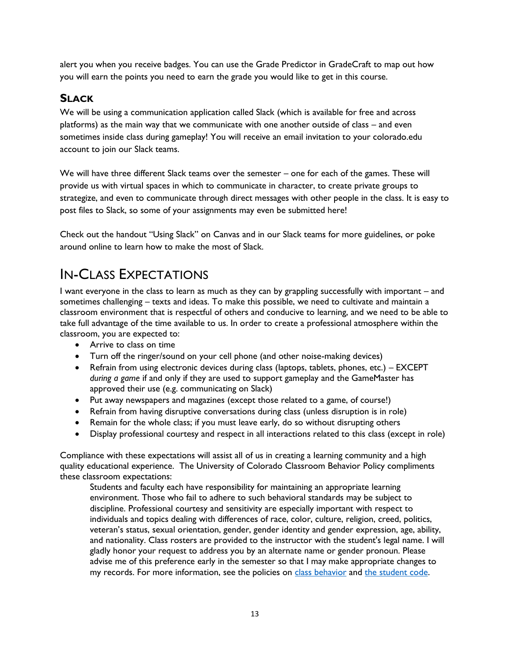alert you when you receive badges. You can use the Grade Predictor in GradeCraft to map out how you will earn the points you need to earn the grade you would like to get in this course.

### **SLACK**

We will be using a communication application called Slack (which is available for free and across platforms) as the main way that we communicate with one another outside of class – and even sometimes inside class during gameplay! You will receive an email invitation to your colorado.edu account to join our Slack teams.

We will have three different Slack teams over the semester – one for each of the games. These will provide us with virtual spaces in which to communicate in character, to create private groups to strategize, and even to communicate through direct messages with other people in the class. It is easy to post files to Slack, so some of your assignments may even be submitted here!

Check out the handout "Using Slack" on Canvas and in our Slack teams for more guidelines, or poke around online to learn how to make the most of Slack.

# IN-CLASS EXPECTATIONS

I want everyone in the class to learn as much as they can by grappling successfully with important – and sometimes challenging – texts and ideas. To make this possible, we need to cultivate and maintain a classroom environment that is respectful of others and conducive to learning, and we need to be able to take full advantage of the time available to us. In order to create a professional atmosphere within the classroom, you are expected to:

- Arrive to class on time
- Turn off the ringer/sound on your cell phone (and other noise-making devices)
- Refrain from using electronic devices during class (laptops, tablets, phones, etc.) EXCEPT *during a game* if and only if they are used to support gameplay and the GameMaster has approved their use (e.g. communicating on Slack)
- Put away newspapers and magazines (except those related to a game, of course!)
- Refrain from having disruptive conversations during class (unless disruption is in role)
- Remain for the whole class; if you must leave early, do so without disrupting others
- Display professional courtesy and respect in all interactions related to this class (except in role)

Compliance with these expectations will assist all of us in creating a learning community and a high quality educational experience. The University of Colorado Classroom Behavior Policy compliments these classroom expectations:

Students and faculty each have responsibility for maintaining an appropriate learning environment. Those who fail to adhere to such behavioral standards may be subject to discipline. Professional courtesy and sensitivity are especially important with respect to individuals and topics dealing with differences of race, color, culture, religion, creed, politics, veteran's status, sexual orientation, gender, gender identity and gender expression, age, ability, and nationality. Class rosters are provided to the instructor with the student's legal name. I will gladly honor your request to address you by an alternate name or gender pronoun. Please advise me of this preference early in the semester so that I may make appropriate changes to my records. For more information, see the policies on [class behavior](http://www.colorado.edu/policies/student-classroom-and-course-related-behavior) and [the student code.](http://www.colorado.edu/studentaffairs/judicialaffairs/code.html#student_code)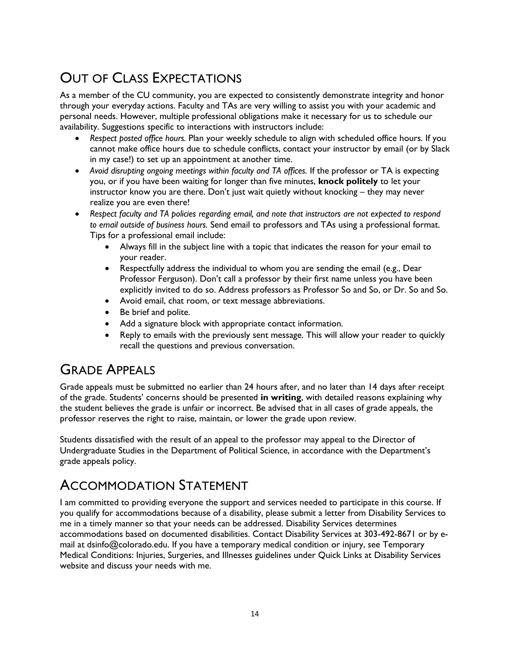# OUT OF CLASS EXPECTATIONS

As a member of the CU community, you are expected to consistently demonstrate integrity and honor through your everyday actions. Faculty and TAs are very willing to assist you with your academic and personal needs. However, multiple professional obligations make it necessary for us to schedule our availability. Suggestions specific to interactions with instructors include:

- *Respect posted office hours.* Plan your weekly schedule to align with scheduled office hours. If you cannot make office hours due to schedule conflicts, contact your instructor by email (or by Slack in my case!) to set up an appointment at another time.
- *Avoid disrupting ongoing meetings within faculty and TA offices.* If the professor or TA is expecting you, or if you have been waiting for longer than five minutes, **knock politely** to let your instructor know you are there. Don't just wait quietly without knocking – they may never realize you are even there!
- *Respect faculty and TA policies regarding email, and note that instructors are not expected to respond to email outside of business hours.* Send email to professors and TAs using a professional format. Tips for a professional email include:
	- Always fill in the subject line with a topic that indicates the reason for your email to your reader.
	- Respectfully address the individual to whom you are sending the email (e.g., Dear Professor Ferguson). Don't call a professor by their first name unless you have been explicitly invited to do so. Address professors as Professor So and So, or Dr. So and So.
	- Avoid email, chat room, or text message abbreviations.
	- Be brief and polite.
	- Add a signature block with appropriate contact information.
	- Reply to emails with the previously sent message. This will allow your reader to quickly recall the questions and previous conversation.

## GRADE APPEALS

Grade appeals must be submitted no earlier than 24 hours after, and no later than 14 days after receipt of the grade. Students' concerns should be presented **in writing**, with detailed reasons explaining why the student believes the grade is unfair or incorrect. Be advised that in all cases of grade appeals, the professor reserves the right to raise, maintain, or lower the grade upon review.

Students dissatisfied with the result of an appeal to the professor may appeal to the Director of Undergraduate Studies in the Department of Political Science, in accordance with the Department's grade appeals policy.

# ACCOMMODATION STATEMENT

I am committed to providing everyone the support and services needed to participate in this course. If you qualify for accommodations because of a disability, please submit a letter from Disability Services to me in a timely manner so that your needs can be addressed. Disability Services determines accommodations based on documented disabilities. Contact Disability Services at 303-492-8671 or by email at dsinfo@colorado.edu. If you have a temporary medical condition or injury, see Temporary Medical Conditions: Injuries, Surgeries, and Illnesses guidelines under Quick Links at Disability Services website and discuss your needs with me.